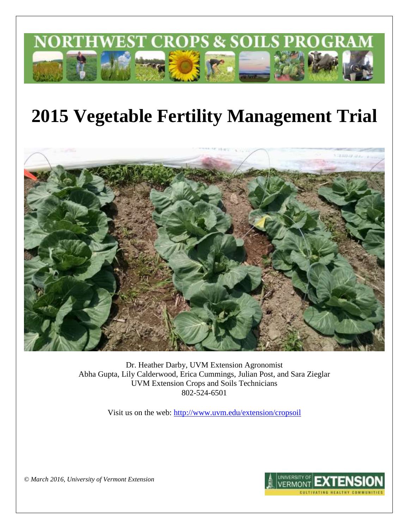

# **2015 Vegetable Fertility Management Trial**



Dr. Heather Darby, UVM Extension Agronomist Abha Gupta, Lily Calderwood, Erica Cummings, Julian Post, and Sara Zieglar UVM Extension Crops and Soils Technicians 802-524-6501

Visit us on the web: <http://www.uvm.edu/extension/cropsoil>



*© March 2016, University of Vermont Extension*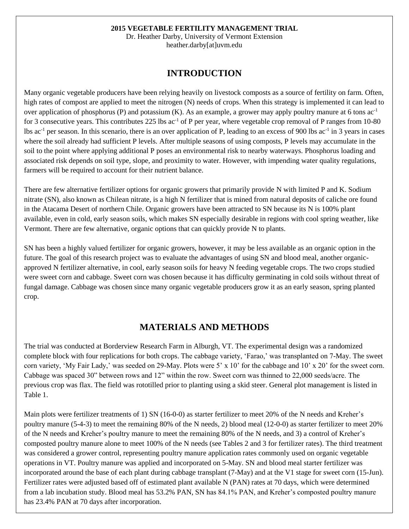#### **2015 VEGETABLE FERTILITY MANAGEMENT TRIAL**

Dr. Heather Darby, University of Vermont Extension heather.darby[at]uvm.edu

## **INTRODUCTION**

Many organic vegetable producers have been relying heavily on livestock composts as a source of fertility on farm. Often, high rates of compost are applied to meet the nitrogen (N) needs of crops. When this strategy is implemented it can lead to over application of phosphorus (P) and potassium (K). As an example, a grower may apply poultry manure at 6 tons  $ac^{-1}$ for 3 consecutive years. This contributes 225 lbs  $ac^{-1}$  of P per year, where vegetable crop removal of P ranges from 10-80 lbs ac<sup>-1</sup> per season. In this scenario, there is an over application of P, leading to an excess of 900 lbs ac<sup>-1</sup> in 3 years in cases where the soil already had sufficient P levels. After multiple seasons of using composts, P levels may accumulate in the soil to the point where applying additional P poses an environmental risk to nearby waterways. Phosphorus loading and associated risk depends on soil type, slope, and proximity to water. However, with impending water quality regulations, farmers will be required to account for their nutrient balance.

There are few alternative fertilizer options for organic growers that primarily provide N with limited P and K. Sodium nitrate (SN), also known as Chilean nitrate, is a high N fertilizer that is mined from natural deposits of caliche ore found in the Atacama Desert of northern Chile. Organic growers have been attracted to SN because its N is 100% plant available, even in cold, early season soils, which makes SN especially desirable in regions with cool spring weather, like Vermont. There are few alternative, organic options that can quickly provide N to plants.

SN has been a highly valued fertilizer for organic growers, however, it may be less available as an organic option in the future. The goal of this research project was to evaluate the advantages of using SN and blood meal, another organicapproved N fertilizer alternative, in cool, early season soils for heavy N feeding vegetable crops. The two crops studied were sweet corn and cabbage. Sweet corn was chosen because it has difficulty germinating in cold soils without threat of fungal damage. Cabbage was chosen since many organic vegetable producers grow it as an early season, spring planted crop.

# **MATERIALS AND METHODS**

The trial was conducted at Borderview Research Farm in Alburgh, VT. The experimental design was a randomized complete block with four replications for both crops. The cabbage variety, 'Farao,' was transplanted on 7-May. The sweet corn variety, 'My Fair Lady,' was seeded on 29-May. Plots were 5' x 10' for the cabbage and 10' x 20' for the sweet corn. Cabbage was spaced 30" between rows and 12" within the row. Sweet corn was thinned to 22,000 seeds/acre. The previous crop was flax. The field was rototilled prior to planting using a skid steer. General plot management is listed in Table 1.

Main plots were fertilizer treatments of 1) SN (16-0-0) as starter fertilizer to meet 20% of the N needs and Kreher's poultry manure (5-4-3) to meet the remaining 80% of the N needs, 2) blood meal (12-0-0) as starter fertilizer to meet 20% of the N needs and Kreher's poultry manure to meet the remaining 80% of the N needs, and 3) a control of Kreher's composted poultry manure alone to meet 100% of the N needs (see Tables 2 and 3 for fertilizer rates). The third treatment was considered a grower control, representing poultry manure application rates commonly used on organic vegetable operations in VT. Poultry manure was applied and incorporated on 5-May. SN and blood meal starter fertilizer was incorporated around the base of each plant during cabbage transplant (7-May) and at the V1 stage for sweet corn (15-Jun). Fertilizer rates were adjusted based off of estimated plant available N (PAN) rates at 70 days, which were determined from a lab incubation study. Blood meal has 53.2% PAN, SN has 84.1% PAN, and Kreher's composted poultry manure has 23.4% PAN at 70 days after incorporation.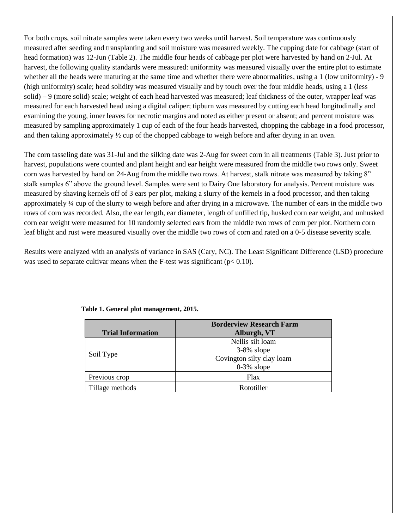For both crops, soil nitrate samples were taken every two weeks until harvest. Soil temperature was continuously measured after seeding and transplanting and soil moisture was measured weekly. The cupping date for cabbage (start of head formation) was 12-Jun (Table 2). The middle four heads of cabbage per plot were harvested by hand on 2-Jul. At harvest, the following quality standards were measured: uniformity was measured visually over the entire plot to estimate whether all the heads were maturing at the same time and whether there were abnormalities, using a 1 (low uniformity) - 9 (high uniformity) scale; head solidity was measured visually and by touch over the four middle heads, using a 1 (less solid) – 9 (more solid) scale; weight of each head harvested was measured; leaf thickness of the outer, wrapper leaf was measured for each harvested head using a digital caliper; tipburn was measured by cutting each head longitudinally and examining the young, inner leaves for necrotic margins and noted as either present or absent; and percent moisture was measured by sampling approximately 1 cup of each of the four heads harvested, chopping the cabbage in a food processor, and then taking approximately  $\frac{1}{2}$  cup of the chopped cabbage to weigh before and after drying in an oven.

The corn tasseling date was 31-Jul and the silking date was 2-Aug for sweet corn in all treatments (Table 3). Just prior to harvest, populations were counted and plant height and ear height were measured from the middle two rows only. Sweet corn was harvested by hand on 24-Aug from the middle two rows. At harvest, stalk nitrate was measured by taking 8" stalk samples 6" above the ground level. Samples were sent to Dairy One laboratory for analysis. Percent moisture was measured by shaving kernels off of 3 ears per plot, making a slurry of the kernels in a food processor, and then taking approximately ¼ cup of the slurry to weigh before and after drying in a microwave. The number of ears in the middle two rows of corn was recorded. Also, the ear length, ear diameter, length of unfilled tip, husked corn ear weight, and unhusked corn ear weight were measured for 10 randomly selected ears from the middle two rows of corn per plot. Northern corn leaf blight and rust were measured visually over the middle two rows of corn and rated on a 0-5 disease severity scale.

Results were analyzed with an analysis of variance in SAS (Cary, NC). The Least Significant Difference (LSD) procedure was used to separate cultivar means when the F-test was significant ( $p < 0.10$ ).

|                          | <b>Borderview Research Farm</b> |  |
|--------------------------|---------------------------------|--|
| <b>Trial Information</b> | Alburgh, VT                     |  |
|                          | Nellis silt loam                |  |
|                          | $3-8\%$ slope                   |  |
| Soil Type                | Covington silty clay loam       |  |
|                          | $0-3\%$ slope                   |  |
| Previous crop            | Flax                            |  |
| Tillage methods          | Rototiller                      |  |

## **Table 1. General plot management, 2015.**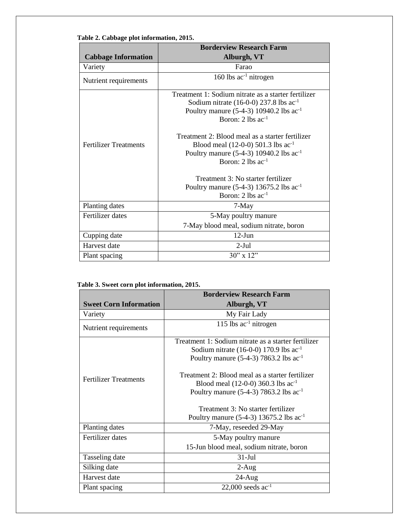|                              | <b>Borderview Research Farm</b>                                                                                                                                                                                                                          |  |  |
|------------------------------|----------------------------------------------------------------------------------------------------------------------------------------------------------------------------------------------------------------------------------------------------------|--|--|
| <b>Cabbage Information</b>   | Alburgh, VT                                                                                                                                                                                                                                              |  |  |
| Variety                      | Farao                                                                                                                                                                                                                                                    |  |  |
| Nutrient requirements        | 160 lbs $ac^{-1}$ nitrogen                                                                                                                                                                                                                               |  |  |
|                              | Treatment 1: Sodium nitrate as a starter fertilizer<br>Sodium nitrate $(16-0-0)$ 237.8 lbs ac <sup>-1</sup><br>Poultry manure (5-4-3) 10940.2 lbs ac <sup>-1</sup><br>Boron: $2 \text{ lbs } ac^{-1}$<br>Treatment 2: Blood meal as a starter fertilizer |  |  |
| <b>Fertilizer Treatments</b> | Blood meal $(12-0-0)$ 501.3 lbs ac <sup>-1</sup><br>Poultry manure $(5-4-3)$ 10940.2 lbs ac <sup>-1</sup><br>Boron: 2 lbs $ac^{-1}$<br>Treatment 3: No starter fertilizer                                                                                |  |  |
|                              | Poultry manure (5-4-3) 13675.2 lbs ac <sup>-1</sup><br>Boron: $2 \text{ lbs } ac^{-1}$                                                                                                                                                                   |  |  |
| Planting dates               | 7-May                                                                                                                                                                                                                                                    |  |  |
| Fertilizer dates             | 5-May poultry manure<br>7-May blood meal, sodium nitrate, boron                                                                                                                                                                                          |  |  |
| Cupping date                 | $12-Jun$                                                                                                                                                                                                                                                 |  |  |
| Harvest date                 | $2-Jul$                                                                                                                                                                                                                                                  |  |  |
| Plant spacing                | 30" x 12"                                                                                                                                                                                                                                                |  |  |

## **Table 2. Cabbage plot information, 2015.**

#### **Table 3. Sweet corn plot information, 2015.**

|                               | <b>Borderview Research Farm</b>                                                                                                                             |  |  |
|-------------------------------|-------------------------------------------------------------------------------------------------------------------------------------------------------------|--|--|
| <b>Sweet Corn Information</b> | Alburgh, VT                                                                                                                                                 |  |  |
| Variety                       | My Fair Lady                                                                                                                                                |  |  |
| Nutrient requirements         | 115 lbs $ac^{-1}$ nitrogen                                                                                                                                  |  |  |
|                               | Treatment 1: Sodium nitrate as a starter fertilizer                                                                                                         |  |  |
|                               | Sodium nitrate $(16-0-0)$ 170.9 lbs ac <sup>-1</sup>                                                                                                        |  |  |
|                               | Poultry manure $(5-4-3)$ 7863.2 lbs ac <sup>-1</sup>                                                                                                        |  |  |
| <b>Fertilizer Treatments</b>  | Treatment 2: Blood meal as a starter fertilizer<br>Blood meal $(12-0-0)$ 360.3 lbs ac <sup>-1</sup><br>Poultry manure $(5-4-3)$ 7863.2 lbs ac <sup>-1</sup> |  |  |
|                               | Treatment 3: No starter fertilizer                                                                                                                          |  |  |
|                               | Poultry manure $(5-4-3)$ 13675.2 lbs ac <sup>-1</sup>                                                                                                       |  |  |
| Planting dates                | 7-May, reseeded 29-May                                                                                                                                      |  |  |
| Fertilizer dates              | 5-May poultry manure                                                                                                                                        |  |  |
|                               | 15-Jun blood meal, sodium nitrate, boron                                                                                                                    |  |  |
| Tasseling date                | $31-Jul$                                                                                                                                                    |  |  |
| Silking date                  | $2-Aug$                                                                                                                                                     |  |  |
| Harvest date                  | $24-Aug$                                                                                                                                                    |  |  |
| Plant spacing                 | 22,000 seeds $ac^{-1}$                                                                                                                                      |  |  |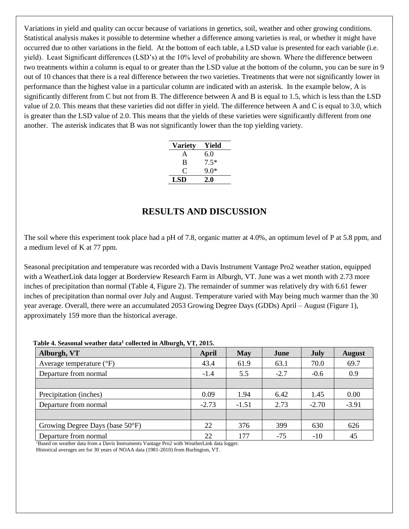Variations in yield and quality can occur because of variations in genetics, soil, weather and other growing conditions. Statistical analysis makes it possible to determine whether a difference among varieties is real, or whether it might have occurred due to other variations in the field. At the bottom of each table, a LSD value is presented for each variable (i.e. yield). Least Significant differences (LSD's) at the 10% level of probability are shown. Where the difference between two treatments within a column is equal to or greater than the LSD value at the bottom of the column, you can be sure in 9 out of 10 chances that there is a real difference between the two varieties. Treatments that were not significantly lower in performance than the highest value in a particular column are indicated with an asterisk. In the example below, A is significantly different from C but not from B. The difference between A and B is equal to 1.5, which is less than the LSD value of 2.0. This means that these varieties did not differ in yield. The difference between A and C is equal to 3.0, which is greater than the LSD value of 2.0. This means that the yields of these varieties were significantly different from one another. The asterisk indicates that B was not significantly lower than the top yielding variety.

| <b>Variety</b> | Yield  |
|----------------|--------|
| A              | 6.0    |
| B              | $7.5*$ |
| C              | ዓ በ*   |
| <b>LSD</b>     | 2.0    |

# **RESULTS AND DISCUSSION**

The soil where this experiment took place had a pH of 7.8, organic matter at 4.0%, an optimum level of P at 5.8 ppm, and a medium level of K at 77 ppm.

Seasonal precipitation and temperature was recorded with a Davis Instrument Vantage Pro2 weather station, equipped with a WeatherLink data logger at Borderview Research Farm in Alburgh, VT. June was a wet month with 2.73 more inches of precipitation than normal (Table 4, Figure 2). The remainder of summer was relatively dry with 6.61 fewer inches of precipitation than normal over July and August. Temperature varied with May being much warmer than the 30 year average. Overall, there were an accumulated 2053 Growing Degree Days (GDDs) April – August (Figure 1), approximately 159 more than the historical average.

| Alburgh, VT                         | April   | May     | June   | July    | <b>August</b> |
|-------------------------------------|---------|---------|--------|---------|---------------|
| Average temperature $({}^{\circ}F)$ | 43.4    | 61.9    | 63.1   | 70.0    | 69.7          |
| Departure from normal               | $-1.4$  | 5.5     | $-2.7$ | $-0.6$  | 0.9           |
|                                     |         |         |        |         |               |
| Precipitation (inches)              | 0.09    | 1.94    | 6.42   | 1.45    | 0.00          |
| Departure from normal               | $-2.73$ | $-1.51$ | 2.73   | $-2.70$ | $-3.91$       |
|                                     |         |         |        |         |               |
| Growing Degree Days (base 50°F)     | 22      | 376     | 399    | 630     | 626           |
| Departure from normal               | 22      | 177     | $-75$  | $-10$   | 45            |

**Table 4. Seasonal weather data<sup>1</sup> collected in Alburgh, VT, 2015.**

<sup>1</sup>Based on weather data from a Davis Instruments Vantage Pro2 with WeatherLink data logger.

Historical averages are for 30 years of NOAA data (1981-2010) from Burlington, VT.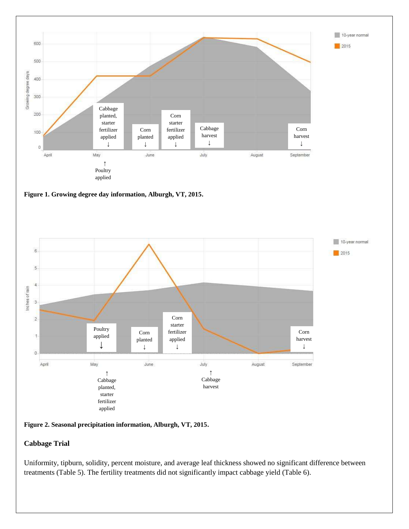



**Figure 2. Seasonal precipitation information, Alburgh, VT, 2015.**

## **Cabbage Trial**

Uniformity, tipburn, solidity, percent moisture, and average leaf thickness showed no significant difference between treatments (Table 5). The fertility treatments did not significantly impact cabbage yield (Table 6).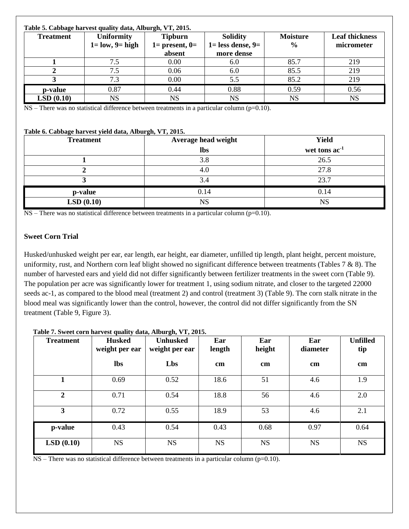## **Table 5. Cabbage harvest quality data, Alburgh, VT, 2015.**

| <b>Treatment</b> | <b>Uniformity</b>      | <b>Tipburn</b>     | <b>Solidity</b>         | <b>Moisture</b> | <b>Leaf thickness</b> |
|------------------|------------------------|--------------------|-------------------------|-----------------|-----------------------|
|                  | $1 = low$ , $9 = high$ | $1=$ present, $0=$ | $1 =$ less dense, $9 =$ | $\frac{6}{9}$   | micrometer            |
|                  |                        | absent             | more dense              |                 |                       |
|                  |                        | 0.00               | 6.0                     | 85.7            | 219                   |
|                  | 7.5                    | 0.06               | 6.0                     | 85.5            | 219                   |
|                  | 7.3                    | 0.00               | 5.5                     | 85.2            | 219                   |
| p-value          | 0.87                   | 0.44               | 0.88                    | 0.59            | 0.56                  |
| LSD(0.10)        | <b>NS</b>              | NS                 | <b>NS</b>               | <b>NS</b>       | <b>NS</b>             |

NS – There was no statistical difference between treatments in a particular column (p=0.10).

## **Table 6. Cabbage harvest yield data, Alburgh, VT, 2015.**

| <b>Treatment</b> | $\sim$ $\sim$ $\sim$<br>Average head weight | <b>Yield</b>    |
|------------------|---------------------------------------------|-----------------|
|                  | <b>lbs</b>                                  | wet tons $ac-1$ |
|                  | 3.8                                         | 26.5            |
|                  | 4.0                                         | 27.8            |
|                  | 3.4                                         | 23.7            |
| p-value          | 0.14                                        | 0.14            |
| LSD(0.10)        | <b>NS</b>                                   | <b>NS</b>       |

NS – There was no statistical difference between treatments in a particular column (p=0.10).

## **Sweet Corn Trial**

Husked/unhusked weight per ear, ear length, ear height, ear diameter, unfilled tip length, plant height, percent moisture, uniformity, rust, and Northern corn leaf blight showed no significant difference between treatments (Tables 7 & 8). The number of harvested ears and yield did not differ significantly between fertilizer treatments in the sweet corn (Table 9). The population per acre was significantly lower for treatment 1, using sodium nitrate, and closer to the targeted 22000 seeds ac-1, as compared to the blood meal (treatment 2) and control (treatment 3) (Table 9). The corn stalk nitrate in the blood meal was significantly lower than the control, however, the control did not differ significantly from the SN treatment (Table 9, Figure 3).

| <b>Treatment</b> | <b>Husked</b><br>weight per ear | <b>Unhusked</b><br>weight per ear | Ear<br>length | Ear<br>height | Ear<br>diameter | <b>Unfilled</b><br>tip |
|------------------|---------------------------------|-----------------------------------|---------------|---------------|-----------------|------------------------|
|                  | <b>lbs</b>                      | Lbs                               | $\mathbf{cm}$ | $\mathbf{cm}$ | $\mathbf{cm}$   | $\mathbf{cm}$          |
| 1                | 0.69                            | 0.52                              | 18.6          | 51            | 4.6             | 1.9                    |
| $\overline{2}$   | 0.71                            | 0.54                              | 18.8          | 56            | 4.6             | 2.0                    |
| 3                | 0.72                            | 0.55                              | 18.9          | 53            | 4.6             | 2.1                    |
| p-value          | 0.43                            | 0.54                              | 0.43          | 0.68          | 0.97            | 0.64                   |
| LSD(0.10)        | <b>NS</b>                       | <b>NS</b>                         | <b>NS</b>     | <b>NS</b>     | <b>NS</b>       | <b>NS</b>              |

#### **Table 7. Sweet corn harvest quality data, Alburgh, VT, 2015.**

 $NS$  – There was no statistical difference between treatments in a particular column (p=0.10).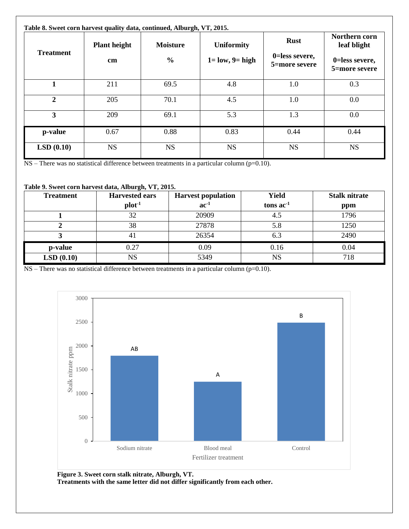| <b>Treatment</b>        | <b>Plant height</b><br>cm | <b>Moisture</b><br>$\frac{0}{0}$ | <b>Uniformity</b><br>$1 = low$ , $9 = high$ | <b>Rust</b><br>0=less severe,<br>5=more severe | Northern corn<br>leaf blight<br>0=less severe,<br>5=more severe |
|-------------------------|---------------------------|----------------------------------|---------------------------------------------|------------------------------------------------|-----------------------------------------------------------------|
| 1                       | 211                       | 69.5                             | 4.8                                         | 1.0                                            | 0.3                                                             |
| $\overline{2}$          | 205                       | 70.1                             | 4.5                                         | 1.0                                            | 0.0                                                             |
| $\overline{\mathbf{3}}$ | 209                       | 69.1                             | 5.3                                         | 1.3                                            | 0.0                                                             |
| p-value                 | 0.67                      | 0.88                             | 0.83                                        | 0.44                                           | 0.44                                                            |
| LSD(0.10)               | <b>NS</b>                 | <b>NS</b>                        | <b>NS</b>                                   | <b>NS</b>                                      | <b>NS</b>                                                       |

NS – There was no statistical difference between treatments in a particular column (p=0.10).

## **Table 9. Sweet corn harvest data, Alburgh, VT, 2015.**

| <b>Treatment</b> | <b>Harvested ears</b> | <b>Harvest population</b> | <b>Yield</b> | <b>Stalk nitrate</b> |
|------------------|-----------------------|---------------------------|--------------|----------------------|
|                  | $plot-1$              | $ac-1$                    | tons $ac-1$  | ppm                  |
|                  | 32                    | 20909                     | 4.5          | 1796                 |
|                  | 38                    | 27878                     | 5.8          | 1250                 |
|                  | 4 I                   | 26354                     | 6.3          | 2490                 |
| p-value          | 0.27                  | 0.09                      | 0.16         | 0.04                 |
| LSD(0.10)        | $_{\rm NS}$           | 5349                      | <b>NS</b>    | 718                  |

NS – There was no statistical difference between treatments in a particular column (p=0.10).



**Figure 3. Sweet corn stalk nitrate, Alburgh, VT. Treatments with the same letter did not differ significantly from each other.**